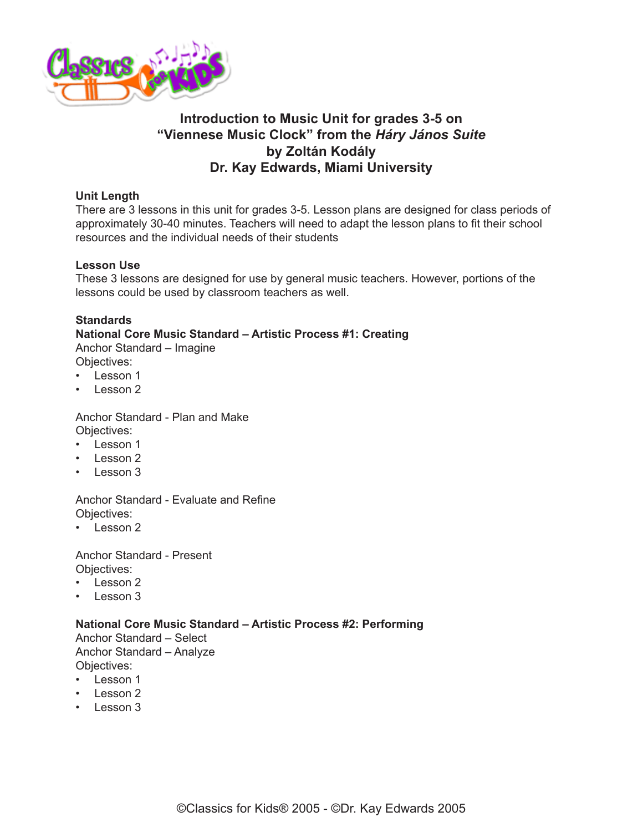

## **Introduction to Music Unit for grades 3-5 on "Viennese Music Clock" from the** *Háry János Suite* **by Zoltán Kodály Dr. Kay Edwards, Miami University**

## **Unit Length**

There are 3 lessons in this unit for grades 3-5. Lesson plans are designed for class periods of approximately 30-40 minutes. Teachers will need to adapt the lesson plans to fit their school resources and the individual needs of their students

## **Lesson Use**

These 3 lessons are designed for use by general music teachers. However, portions of the lessons could be used by classroom teachers as well.

## **Standards**

## **National Core Music Standard – Artistic Process #1: Creating**

Anchor Standard – Imagine Objectives:

- Lesson 1
- Lesson 2

Anchor Standard - Plan and Make Objectives:

- Lesson 1
- Lesson 2
- Lesson 3

Anchor Standard - Evaluate and Refine Objectives:

• Lesson 2

Anchor Standard - Present Objectives:

- Lesson 2
- Lesson 3

#### **National Core Music Standard – Artistic Process #2: Performing**

Anchor Standard – Select Anchor Standard – Analyze Objectives:

- Lesson 1
- Lesson 2
- Lesson 3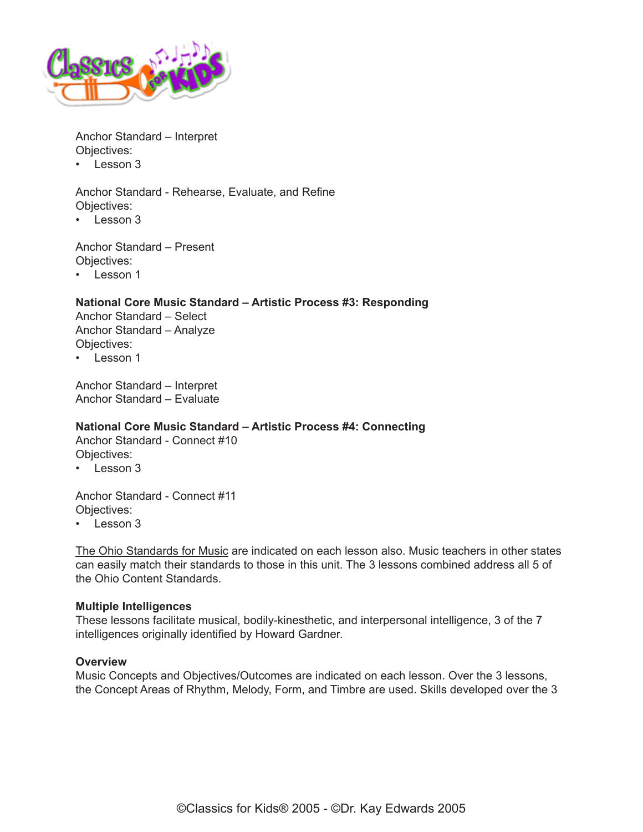

Anchor Standard – Interpret Objectives:

• Lesson 3

Anchor Standard - Rehearse, Evaluate, and Refine Objectives:

• Lesson 3

Anchor Standard – Present Objectives:

• Lesson 1

## **National Core Music Standard – Artistic Process #3: Responding**

Anchor Standard – Select Anchor Standard – Analyze Objectives:

• Lesson 1

Anchor Standard – Interpret Anchor Standard – Evaluate

## **National Core Music Standard – Artistic Process #4: Connecting**

Anchor Standard - Connect #10 Objectives:

• Lesson 3

Anchor Standard - Connect #11 Objectives:

• Lesson 3

[The Ohio Standards for Music](http://education.ohio.gov/Topics/Learning-in-Ohio/Fine-Arts) are indicated on each lesson also. Music teachers in other states can easily match their standards to those in this unit. The 3 lessons combined address all 5 of the Ohio Content Standards.

#### **Multiple Intelligences**

These lessons facilitate musical, bodily-kinesthetic, and interpersonal intelligence, 3 of the 7 intelligences originally identified by Howard Gardner.

#### **Overview**

Music Concepts and Objectives/Outcomes are indicated on each lesson. Over the 3 lessons, the Concept Areas of Rhythm, Melody, Form, and Timbre are used. Skills developed over the 3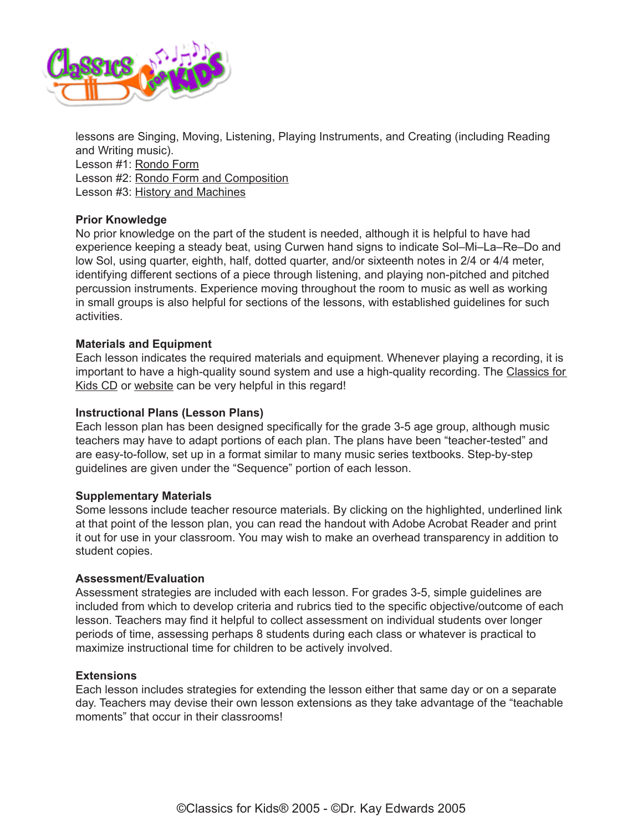

lessons are Singing, Moving, Listening, Playing Instruments, and Creating (including Reading and Writing music). Lesson #1: [Rondo Form](http://www.classicsforkids.com/downloads/kodaly/Kodaly_LessonPlans3-5_part1.pdf) Lesson #2: [Rondo Form and Composition](http://www.classicsforkids.com/downloads/kodaly/Kodaly_LessonPlans3-5_part2.pdf) Lesson #3: [History and Machines](http://www.classicsforkids.com/downloads/kodaly/Kodaly_LessonPlans3-5_part3.pdf)

## **Prior Knowledge**

No prior knowledge on the part of the student is needed, although it is helpful to have had experience keeping a steady beat, using Curwen hand signs to indicate Sol–Mi–La–Re–Do and low Sol, using quarter, eighth, half, dotted quarter, and/or sixteenth notes in 2/4 or 4/4 meter, identifying different sections of a piece through listening, and playing non-pitched and pitched percussion instruments. Experience moving throughout the room to music as well as working in small groups is also helpful for sections of the lessons, with established guidelines for such activities.

#### **Materials and Equipment**

Each lesson indicates the required materials and equipment. Whenever playing a recording, it is important to have a high-quality sound system and use a high-quality recording. The [Classics for](https://secure2.convio.net/cpr/site/Ecommerce/1029952731?VIEW_PRODUCT=true&product_id=1080&store_id=1101)  [Kids CD](https://secure2.convio.net/cpr/site/Ecommerce/1029952731?VIEW_PRODUCT=true&product_id=1080&store_id=1101) or [website](http://www.classicsforkids.com) can be very helpful in this regard!

#### **Instructional Plans (Lesson Plans)**

Each lesson plan has been designed specifically for the grade 3-5 age group, although music teachers may have to adapt portions of each plan. The plans have been "teacher-tested" and are easy-to-follow, set up in a format similar to many music series textbooks. Step-by-step guidelines are given under the "Sequence" portion of each lesson.

#### **Supplementary Materials**

Some lessons include teacher resource materials. By clicking on the highlighted, underlined link at that point of the lesson plan, you can read the handout with Adobe Acrobat Reader and print it out for use in your classroom. You may wish to make an overhead transparency in addition to student copies.

#### **Assessment/Evaluation**

Assessment strategies are included with each lesson. For grades 3-5, simple guidelines are included from which to develop criteria and rubrics tied to the specific objective/outcome of each lesson. Teachers may find it helpful to collect assessment on individual students over longer periods of time, assessing perhaps 8 students during each class or whatever is practical to maximize instructional time for children to be actively involved.

#### **Extensions**

Each lesson includes strategies for extending the lesson either that same day or on a separate day. Teachers may devise their own lesson extensions as they take advantage of the "teachable moments" that occur in their classrooms!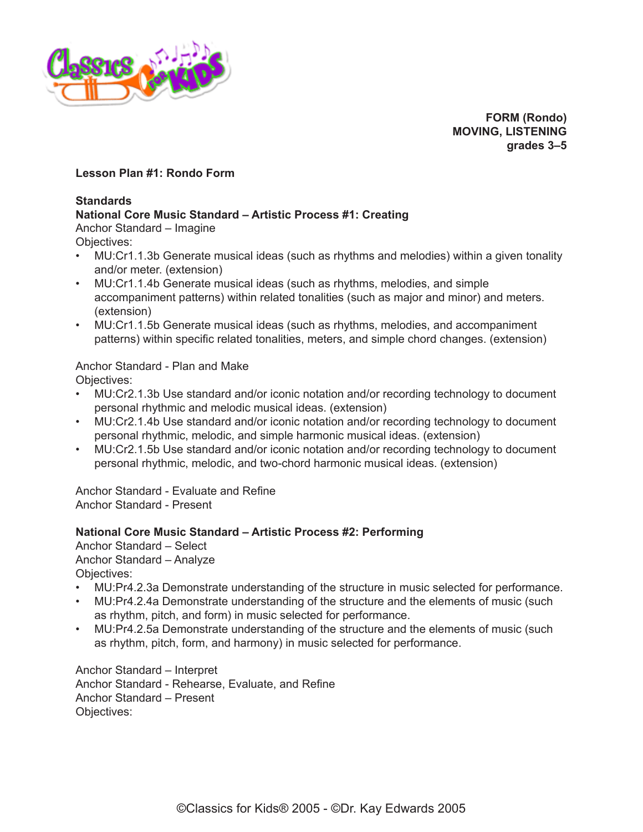

**FORM (Rondo) MOVING, LISTENING grades 3–5**

## **Lesson Plan #1: Rondo Form**

#### **Standards**

## **National Core Music Standard – Artistic Process #1: Creating**

Anchor Standard – Imagine

Objectives:

- MU:Cr1.1.3b Generate musical ideas (such as rhythms and melodies) within a given tonality and/or meter. (extension)
- MU:Cr1.1.4b Generate musical ideas (such as rhythms, melodies, and simple accompaniment patterns) within related tonalities (such as major and minor) and meters. (extension)
- MU:Cr1.1.5b Generate musical ideas (such as rhythms, melodies, and accompaniment patterns) within specific related tonalities, meters, and simple chord changes. (extension)

# Anchor Standard - Plan and Make

Objectives:

- MU:Cr2.1.3b Use standard and/or iconic notation and/or recording technology to document personal rhythmic and melodic musical ideas. (extension)
- MU:Cr2.1.4b Use standard and/or iconic notation and/or recording technology to document personal rhythmic, melodic, and simple harmonic musical ideas. (extension)
- MU:Cr2.1.5b Use standard and/or iconic notation and/or recording technology to document personal rhythmic, melodic, and two-chord harmonic musical ideas. (extension)

Anchor Standard - Evaluate and Refine Anchor Standard - Present

## **National Core Music Standard – Artistic Process #2: Performing**

Anchor Standard – Select Anchor Standard – Analyze Objectives:

- MU:Pr4.2.3a Demonstrate understanding of the structure in music selected for performance.
- MU:Pr4.2.4a Demonstrate understanding of the structure and the elements of music (such as rhythm, pitch, and form) in music selected for performance.
- MU:Pr4.2.5a Demonstrate understanding of the structure and the elements of music (such as rhythm, pitch, form, and harmony) in music selected for performance.

Anchor Standard – Interpret Anchor Standard - Rehearse, Evaluate, and Refine Anchor Standard – Present Objectives: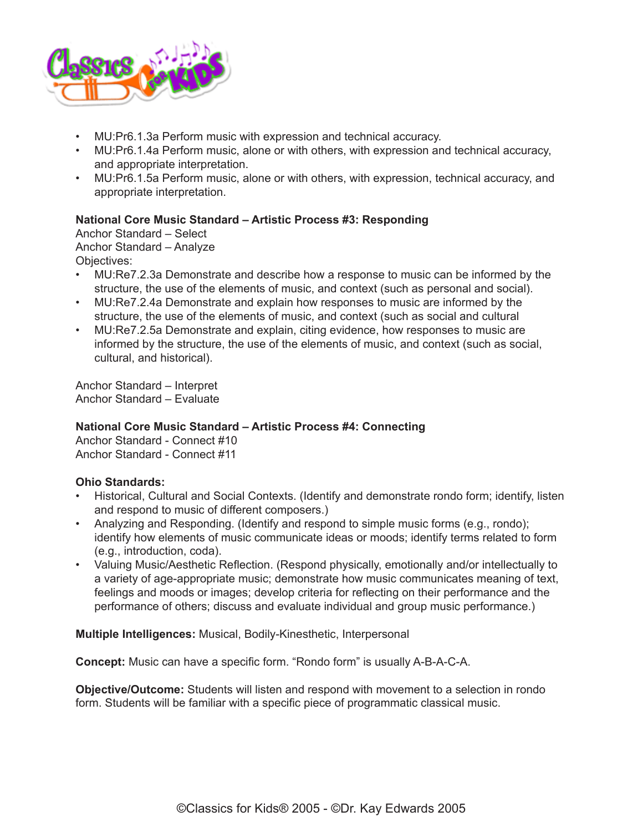

- MU:Pr6.1.3a Perform music with expression and technical accuracy.
- MU:Pr6.1.4a Perform music, alone or with others, with expression and technical accuracy, and appropriate interpretation.
- MU:Pr6.1.5a Perform music, alone or with others, with expression, technical accuracy, and appropriate interpretation.

## **National Core Music Standard – Artistic Process #3: Responding**

Anchor Standard – Select Anchor Standard – Analyze Objectives:

- MU:Re7.2.3a Demonstrate and describe how a response to music can be informed by the structure, the use of the elements of music, and context (such as personal and social).
- MU:Re7.2.4a Demonstrate and explain how responses to music are informed by the structure, the use of the elements of music, and context (such as social and cultural
- MU:Re7.2.5a Demonstrate and explain, citing evidence, how responses to music are informed by the structure, the use of the elements of music, and context (such as social, cultural, and historical).

Anchor Standard – Interpret Anchor Standard – Evaluate

#### **National Core Music Standard – Artistic Process #4: Connecting**

Anchor Standard - Connect #10 Anchor Standard - Connect #11

#### **Ohio Standards:**

- Historical, Cultural and Social Contexts. (Identify and demonstrate rondo form; identify, listen and respond to music of different composers.)
- Analyzing and Responding. (Identify and respond to simple music forms (e.g., rondo); identify how elements of music communicate ideas or moods; identify terms related to form (e.g., introduction, coda).
- Valuing Music/Aesthetic Reflection. (Respond physically, emotionally and/or intellectually to a variety of age-appropriate music; demonstrate how music communicates meaning of text, feelings and moods or images; develop criteria for reflecting on their performance and the performance of others; discuss and evaluate individual and group music performance.)

**Multiple Intelligences:** Musical, Bodily-Kinesthetic, Interpersonal

**Concept:** Music can have a specific form. "Rondo form" is usually A-B-A-C-A.

**Objective/Outcome:** Students will listen and respond with movement to a selection in rondo form. Students will be familiar with a specific piece of programmatic classical music.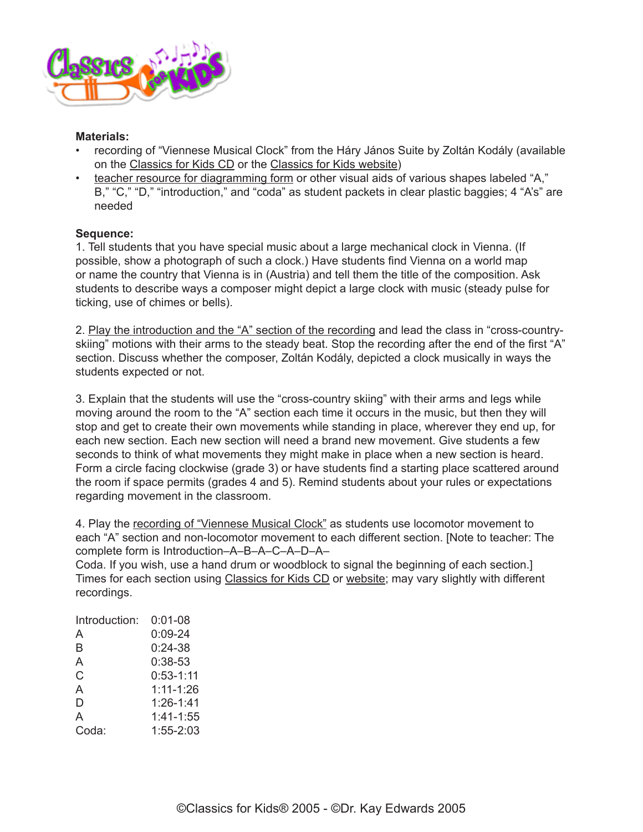

#### **Materials:**

- recording of "Viennese Musical Clock" from the Háry János Suite by Zoltán Kodály (available on the [Classics for Kids CD](https://secure2.convio.net/cpr/site/Ecommerce/1029952731?VIEW_PRODUCT=true&product_id=1080&store_id=1101) or the [Classics for Kids website\)](http://www.classicsforkids.com/composers/composer_profile.php?id=41)
- [teacher resource for diagramming form](http://www.classicsforkids.com/downloads/kodaly/TchResourceDiagrammingForm.pdf) or other visual aids of various shapes labeled "A," B," "C," "D," "introduction," and "coda" as student packets in clear plastic baggies; 4 "A's" are needed

## **Sequence:**

1. Tell students that you have special music about a large mechanical clock in Vienna. (If possible, show a photograph of such a clock.) Have students find Vienna on a world map or name the country that Vienna is in (Austria) and tell them the title of the composition. Ask students to describe ways a composer might depict a large clock with music (steady pulse for ticking, use of chimes or bells).

2. [Play the introduction and the "A" section of the recording](http://classicsforkids.com/music/hearthemusic.php?id=34) and lead the class in "cross-countryskiing" motions with their arms to the steady beat. Stop the recording after the end of the first "A" section. Discuss whether the composer, Zoltán Kodály, depicted a clock musically in ways the students expected or not.

3. Explain that the students will use the "cross-country skiing" with their arms and legs while moving around the room to the "A" section each time it occurs in the music, but then they will stop and get to create their own movements while standing in place, wherever they end up, for each new section. Each new section will need a brand new movement. Give students a few seconds to think of what movements they might make in place when a new section is heard. Form a circle facing clockwise (grade 3) or have students find a starting place scattered around the room if space permits (grades 4 and 5). Remind students about your rules or expectations regarding movement in the classroom.

4. Play the [recording of "Viennese Musical Clock"](http://classicsforkids.com/music/hearthemusic.php?id=34) as students use locomotor movement to each "A" section and non-locomotor movement to each different section. [Note to teacher: The complete form is Introduction–A–B–A–C–A–D–A–

Coda. If you wish, use a hand drum or woodblock to signal the beginning of each section.] Times for each section using [Classics for Kids CD](https://secure2.convio.net/cpr/site/Ecommerce/1029952731?VIEW_PRODUCT=true&product_id=1080&store_id=1101) or [website;](http://www.classicsforkids.com/composers/composer_profile.php?id=41) may vary slightly with different recordings.

| Introduction: | 0:01-08       |
|---------------|---------------|
| A             | $0:09-24$     |
| B             | $0:24-38$     |
| A             | $0:38-53$     |
| C.            | $0:53 - 1:11$ |
| A             | $1:11 - 1:26$ |
| D             | $1:26 - 1:41$ |
| A             | 1:41-1:55     |
| Coda:         | $1:55 - 2:03$ |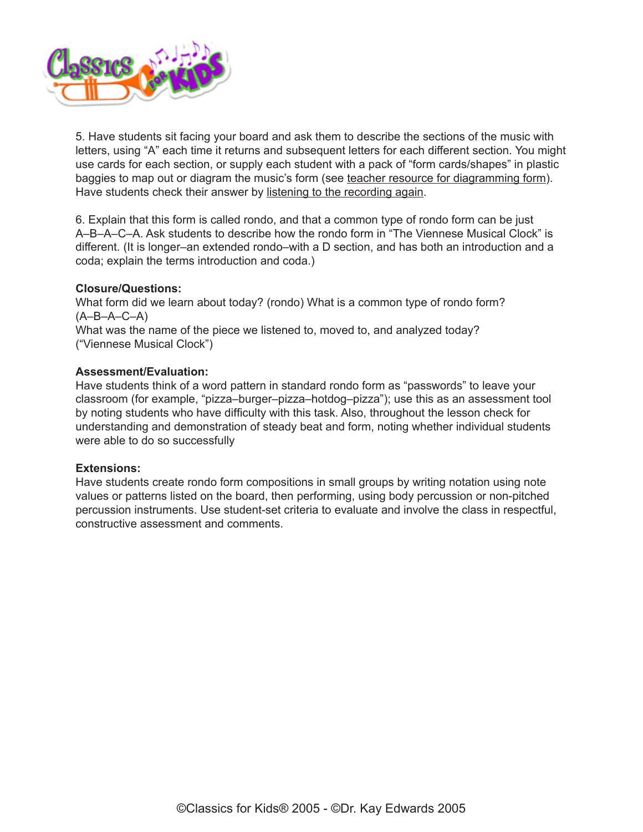

5. Have students sit facing your board and ask them to describe the sections of the music with letters, using "A" each time it returns and subsequent letters for each different section. You might use cards for each section, or supply each student with a pack of "form cards/shapes" in plastic baggies to map out or diagram the music's form (see [teacher resource for diagramming form](http://www.classicsforkids.com/downloads/kodaly/TchResourceDiagrammingForm.pdf)). Have students check their answer by [listening to the recording again](http://classicsforkids.com/music/hearthemusic.php?id=34).

6. Explain that this form is called rondo, and that a common type of rondo form can be just A–B–A–C–A. Ask students to describe how the rondo form in "The Viennese Musical Clock" is different. (It is longer–an extended rondo–with a D section, and has both an introduction and a coda; explain the terms introduction and coda.)

## **Closure/Questions:**

What form did we learn about today? (rondo) What is a common type of rondo form? (A–B–A–C–A) What was the name of the piece we listened to, moved to, and analyzed today? ("Viennese Musical Clock")

#### **Assessment/Evaluation:**

Have students think of a word pattern in standard rondo form as "passwords" to leave your classroom (for example, "pizza–burger–pizza–hotdog–pizza"); use this as an assessment tool by noting students who have difficulty with this task. Also, throughout the lesson check for understanding and demonstration of steady beat and form, noting whether individual students were able to do so successfully

#### **Extensions:**

Have students create rondo form compositions in small groups by writing notation using note values or patterns listed on the board, then performing, using body percussion or non-pitched percussion instruments. Use student-set criteria to evaluate and involve the class in respectful, constructive assessment and comments.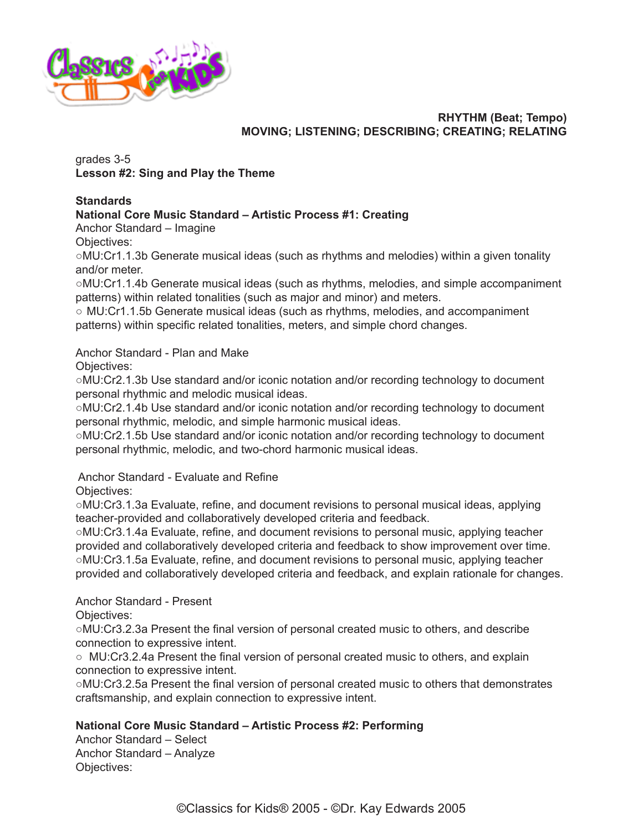

## **RHYTHM (Beat; Tempo) MOVING; LISTENING; DESCRIBING; CREATING; RELATING**

grades 3-5 **Lesson #2: Sing and Play the Theme**

## **Standards**

## **National Core Music Standard – Artistic Process #1: Creating**

Anchor Standard – Imagine

Objectives:

○MU:Cr1.1.3b Generate musical ideas (such as rhythms and melodies) within a given tonality and/or meter.

○MU:Cr1.1.4b Generate musical ideas (such as rhythms, melodies, and simple accompaniment patterns) within related tonalities (such as major and minor) and meters.

○ MU:Cr1.1.5b Generate musical ideas (such as rhythms, melodies, and accompaniment patterns) within specific related tonalities, meters, and simple chord changes.

Anchor Standard - Plan and Make

Objectives:

○MU:Cr2.1.3b Use standard and/or iconic notation and/or recording technology to document personal rhythmic and melodic musical ideas.

○MU:Cr2.1.4b Use standard and/or iconic notation and/or recording technology to document personal rhythmic, melodic, and simple harmonic musical ideas.

○MU:Cr2.1.5b Use standard and/or iconic notation and/or recording technology to document personal rhythmic, melodic, and two-chord harmonic musical ideas.

Anchor Standard - Evaluate and Refine

Objectives:

○MU:Cr3.1.3a Evaluate, refine, and document revisions to personal musical ideas, applying teacher-provided and collaboratively developed criteria and feedback.

○MU:Cr3.1.4a Evaluate, refine, and document revisions to personal music, applying teacher provided and collaboratively developed criteria and feedback to show improvement over time. ○MU:Cr3.1.5a Evaluate, refine, and document revisions to personal music, applying teacher provided and collaboratively developed criteria and feedback, and explain rationale for changes.

Anchor Standard - Present

Objectives:

○MU:Cr3.2.3a Present the final version of personal created music to others, and describe connection to expressive intent.

○ MU:Cr3.2.4a Present the final version of personal created music to others, and explain connection to expressive intent.

○MU:Cr3.2.5a Present the final version of personal created music to others that demonstrates craftsmanship, and explain connection to expressive intent.

## **National Core Music Standard – Artistic Process #2: Performing**

Anchor Standard – Select Anchor Standard – Analyze Objectives: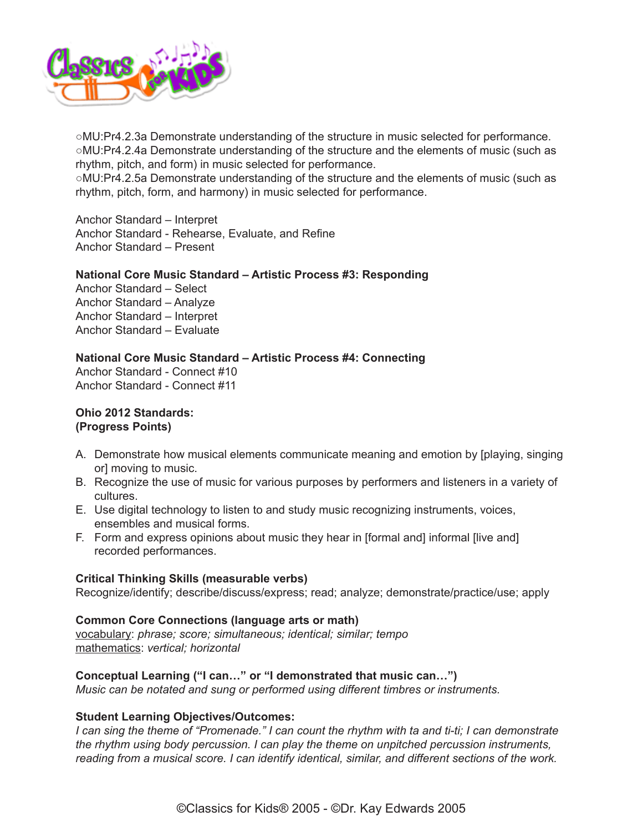

○MU:Pr4.2.3a Demonstrate understanding of the structure in music selected for performance. ○MU:Pr4.2.4a Demonstrate understanding of the structure and the elements of music (such as rhythm, pitch, and form) in music selected for performance.

○MU:Pr4.2.5a Demonstrate understanding of the structure and the elements of music (such as rhythm, pitch, form, and harmony) in music selected for performance.

Anchor Standard – Interpret Anchor Standard - Rehearse, Evaluate, and Refine Anchor Standard – Present

## **National Core Music Standard – Artistic Process #3: Responding**

Anchor Standard – Select Anchor Standard – Analyze Anchor Standard – Interpret Anchor Standard – Evaluate

**National Core Music Standard – Artistic Process #4: Connecting** Anchor Standard - Connect #10 Anchor Standard - Connect #11

**Ohio 2012 Standards: (Progress Points)**

- A. Demonstrate how musical elements communicate meaning and emotion by [playing, singing or] moving to music.
- B. Recognize the use of music for various purposes by performers and listeners in a variety of cultures.
- E. Use digital technology to listen to and study music recognizing instruments, voices, ensembles and musical forms.
- F. Form and express opinions about music they hear in [formal and] informal [live and] recorded performances.

## **Critical Thinking Skills (measurable verbs)**

Recognize/identify; describe/discuss/express; read; analyze; demonstrate/practice/use; apply

#### **Common Core Connections (language arts or math)**

vocabulary: *phrase; score; simultaneous; identical; similar; tempo* mathematics: *vertical; horizontal*

## **Conceptual Learning ("I can…" or "I demonstrated that music can…")**

*Music can be notated and sung or performed using different timbres or instruments.* 

## **Student Learning Objectives/Outcomes:**

*I* can sing the theme of "Promenade." I can count the rhythm with ta and ti-ti; I can demonstrate *the rhythm using body percussion. I can play the theme on unpitched percussion instruments, reading from a musical score. I can identify identical, similar, and different sections of the work.*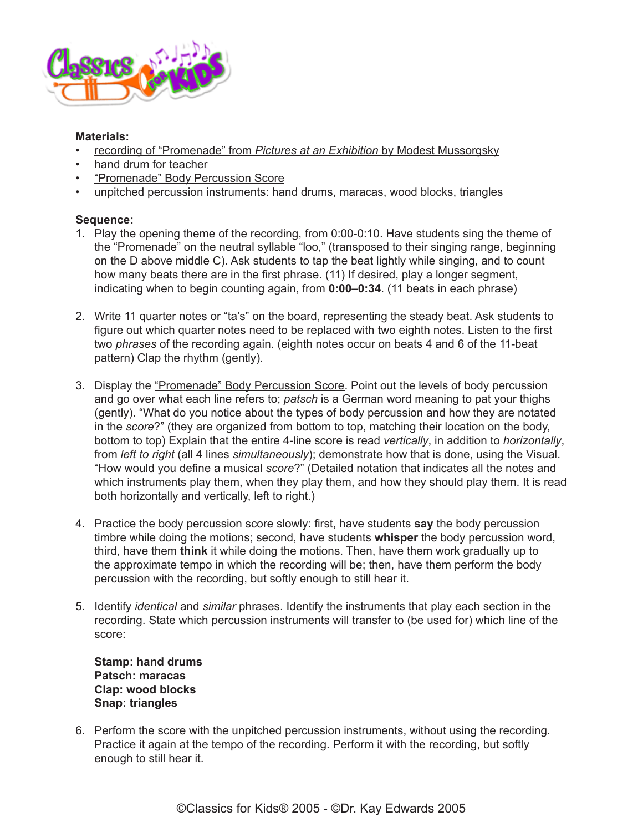

## **Materials:**

- [recording of "Promenade" from](http://www.classicsforkids.com/music/hearthemusic.php?id=14) *Pictures at an Exhibition* by Modest Mussorgsky
- hand drum for teacher
- ["Promenade" Body Percussion Score](http://www.classicsforkids.com/downloads/mussorgsky/Promenade_Body_Perc_Score_3-6.pdf)
- unpitched percussion instruments: hand drums, maracas, wood blocks, triangles

## **Sequence:**

- 1. Play the opening theme of the recording, from 0:00-0:10. Have students sing the theme of the "Promenade" on the neutral syllable "loo," (transposed to their singing range, beginning on the D above middle C). Ask students to tap the beat lightly while singing, and to count how many beats there are in the first phrase. (11) If desired, play a longer segment, indicating when to begin counting again, from **0:00–0:34**. (11 beats in each phrase)
- 2. Write 11 quarter notes or "ta's" on the board, representing the steady beat. Ask students to figure out which quarter notes need to be replaced with two eighth notes. Listen to the first two *phrases* of the recording again. (eighth notes occur on beats 4 and 6 of the 11-beat pattern) Clap the rhythm (gently).
- 3. Display the ["Promenade" Body Percussion Score](http://www.classicsforkids.com/downloads/mussorgsky/Promenade_Body_Perc_Score_3-6.pdf). Point out the levels of body percussion and go over what each line refers to; *patsch* is a German word meaning to pat your thighs (gently). "What do you notice about the types of body percussion and how they are notated in the *score*?" (they are organized from bottom to top, matching their location on the body, bottom to top) Explain that the entire 4-line score is read *vertically*, in addition to *horizontally*, from *left to right* (all 4 lines *simultaneously*); demonstrate how that is done, using the Visual. "How would you define a musical *score*?" (Detailed notation that indicates all the notes and which instruments play them, when they play them, and how they should play them. It is read both horizontally and vertically, left to right.)
- 4. Practice the body percussion score slowly: first, have students **say** the body percussion timbre while doing the motions; second, have students **whisper** the body percussion word, third, have them **think** it while doing the motions. Then, have them work gradually up to the approximate tempo in which the recording will be; then, have them perform the body percussion with the recording, but softly enough to still hear it.
- 5. Identify *identical* and *similar* phrases. Identify the instruments that play each section in the recording. State which percussion instruments will transfer to (be used for) which line of the score:

**Stamp: hand drums Patsch: maracas Clap: wood blocks Snap: triangles**

6. Perform the score with the unpitched percussion instruments, without using the recording. Practice it again at the tempo of the recording. Perform it with the recording, but softly enough to still hear it.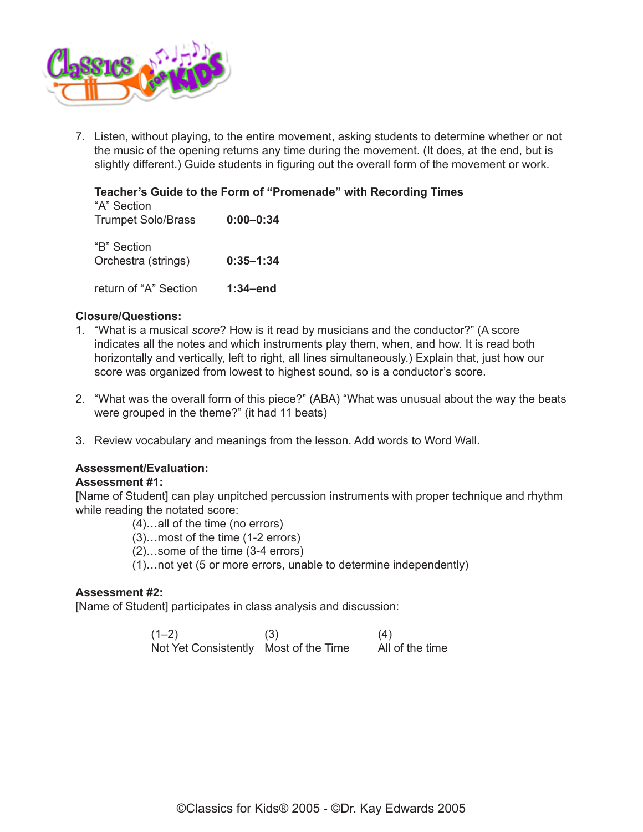

7. Listen, without playing, to the entire movement, asking students to determine whether or not the music of the opening returns any time during the movement. (It does, at the end, but is slightly different.) Guide students in figuring out the overall form of the movement or work.

## **Teacher's Guide to the Form of "Promenade" with Recording Times** "A" Section Trumpet Solo/Brass **0:00–0:34** "B" Section

Orchestra (strings) **0:35–1:34** return of "A" Section **1:34–end**

## **Closure/Questions:**

- 1. "What is a musical *score*? How is it read by musicians and the conductor?" (A score indicates all the notes and which instruments play them, when, and how. It is read both horizontally and vertically, left to right, all lines simultaneously.) Explain that, just how our score was organized from lowest to highest sound, so is a conductor's score.
- 2. "What was the overall form of this piece?" (ABA) "What was unusual about the way the beats were grouped in the theme?" (it had 11 beats)
- 3. Review vocabulary and meanings from the lesson. Add words to Word Wall.

## **Assessment/Evaluation:**

## **Assessment #1:**

[Name of Student] can play unpitched percussion instruments with proper technique and rhythm while reading the notated score:

- (4)…all of the time (no errors)
- (3)…most of the time (1-2 errors)
- (2)…some of the time (3-4 errors)
- (1)…not yet (5 or more errors, unable to determine independently)

## **Assessment #2:**

[Name of Student] participates in class analysis and discussion:

| $(1-2)$                               | (3) | (4)             |
|---------------------------------------|-----|-----------------|
| Not Yet Consistently Most of the Time |     | All of the time |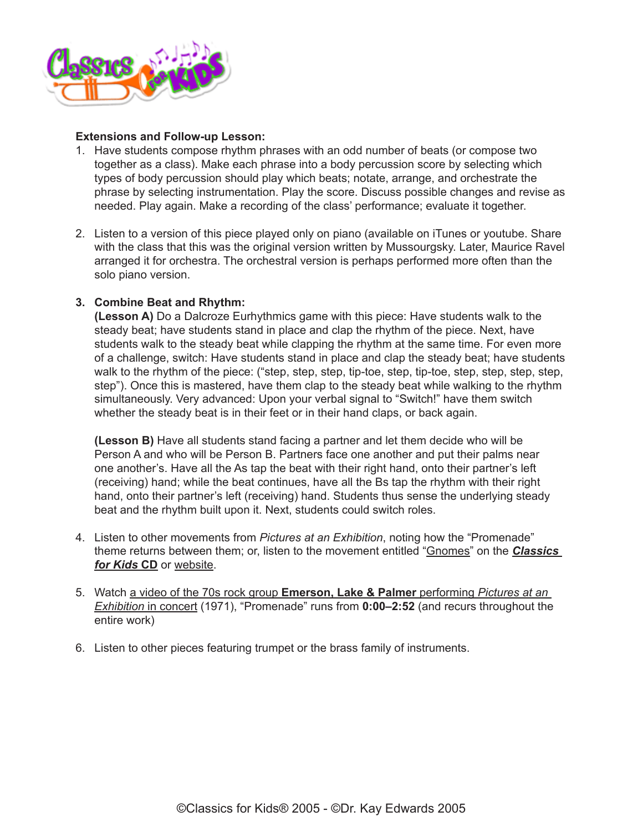

#### **Extensions and Follow-up Lesson:**

- 1. Have students compose rhythm phrases with an odd number of beats (or compose two together as a class). Make each phrase into a body percussion score by selecting which types of body percussion should play which beats; notate, arrange, and orchestrate the phrase by selecting instrumentation. Play the score. Discuss possible changes and revise as needed. Play again. Make a recording of the class' performance; evaluate it together.
- 2. Listen to a version of this piece played only on piano (available on iTunes or youtube. Share with the class that this was the original version written by Mussourgsky. Later, Maurice Ravel arranged it for orchestra. The orchestral version is perhaps performed more often than the solo piano version.

## **3. Combine Beat and Rhythm:**

**(Lesson A)** Do a Dalcroze Eurhythmics game with this piece: Have students walk to the steady beat; have students stand in place and clap the rhythm of the piece. Next, have students walk to the steady beat while clapping the rhythm at the same time. For even more of a challenge, switch: Have students stand in place and clap the steady beat; have students walk to the rhythm of the piece: ("step, step, step, tip-toe, step, tip-toe, step, step, step, step, step"). Once this is mastered, have them clap to the steady beat while walking to the rhythm simultaneously. Very advanced: Upon your verbal signal to "Switch!" have them switch whether the steady beat is in their feet or in their hand claps, or back again.

**(Lesson B)** Have all students stand facing a partner and let them decide who will be Person A and who will be Person B. Partners face one another and put their palms near one another's. Have all the As tap the beat with their right hand, onto their partner's left (receiving) hand; while the beat continues, have all the Bs tap the rhythm with their right hand, onto their partner's left (receiving) hand. Students thus sense the underlying steady beat and the rhythm built upon it. Next, students could switch roles.

- 4. Listen to other movements from *Pictures at an Exhibition*, noting how the "Promenade" theme returns between them; or, listen to the movement entitled "[Gnomes](http://www.classicsforkids.com/music/hearthemusic.php?id=15)" on the *[Classics](https://secure2.convio.net/cpr/site/Ecommerce/390168608?VIEW_PRODUCT=true&product_id=1080&store_id=1101)  [for Kids](https://secure2.convio.net/cpr/site/Ecommerce/390168608?VIEW_PRODUCT=true&product_id=1080&store_id=1101)* **CD** or [website](http://www.classicsforkids.com).
- 5. Watch [a video of the 70s rock group](http://www.youtube.com/watch?v=y7WeP-Aa5EI) **Emerson, Lake & Palmer** performing *Pictures at an Exhibition* [in concert](http://www.youtube.com/watch?v=y7WeP-Aa5EI) (1971), "Promenade" runs from **0:00–2:52** (and recurs throughout the entire work)
- 6. Listen to other pieces featuring trumpet or the brass family of instruments.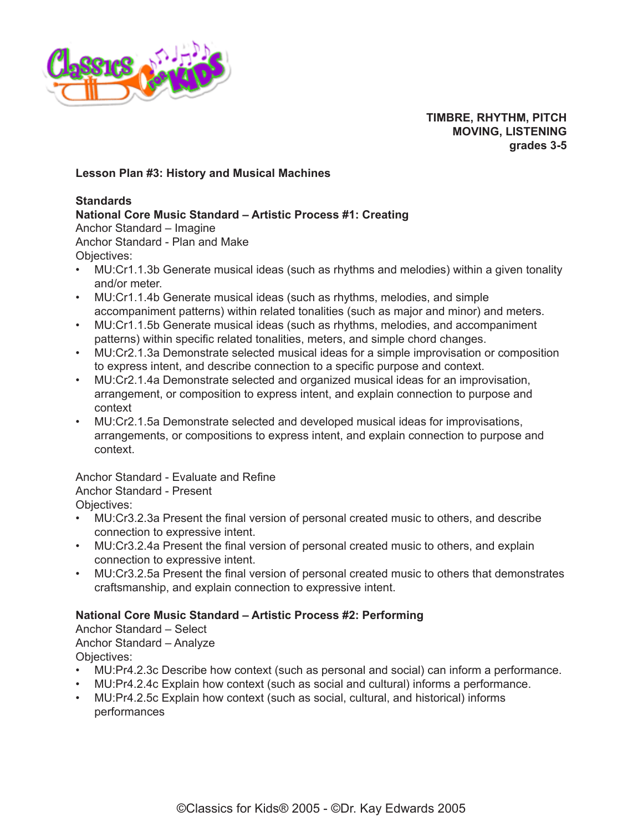

**TIMBRE, RHYTHM, PITCH MOVING, LISTENING grades 3-5**

## **Lesson Plan #3: History and Musical Machines**

#### **Standards**

## **National Core Music Standard – Artistic Process #1: Creating**

Anchor Standard – Imagine Anchor Standard - Plan and Make Objectives:

- MU:Cr1.1.3b Generate musical ideas (such as rhythms and melodies) within a given tonality and/or meter.
- MU:Cr1.1.4b Generate musical ideas (such as rhythms, melodies, and simple accompaniment patterns) within related tonalities (such as major and minor) and meters.
- MU:Cr1.1.5b Generate musical ideas (such as rhythms, melodies, and accompaniment patterns) within specific related tonalities, meters, and simple chord changes.
- MU:Cr2.1.3a Demonstrate selected musical ideas for a simple improvisation or composition to express intent, and describe connection to a specific purpose and context.
- MU:Cr2.1.4a Demonstrate selected and organized musical ideas for an improvisation, arrangement, or composition to express intent, and explain connection to purpose and context
- MU:Cr2.1.5a Demonstrate selected and developed musical ideas for improvisations, arrangements, or compositions to express intent, and explain connection to purpose and context.

Anchor Standard - Evaluate and Refine Anchor Standard - Present

Objectives:

- MU:Cr3.2.3a Present the final version of personal created music to others, and describe connection to expressive intent.
- MU:Cr3.2.4a Present the final version of personal created music to others, and explain connection to expressive intent.
- MU:Cr3.2.5a Present the final version of personal created music to others that demonstrates craftsmanship, and explain connection to expressive intent.

## **National Core Music Standard – Artistic Process #2: Performing**

Anchor Standard – Select Anchor Standard – Analyze Objectives:

- MU:Pr4.2.3c Describe how context (such as personal and social) can inform a performance.
- MU:Pr4.2.4c Explain how context (such as social and cultural) informs a performance.
- MU:Pr4.2.5c Explain how context (such as social, cultural, and historical) informs performances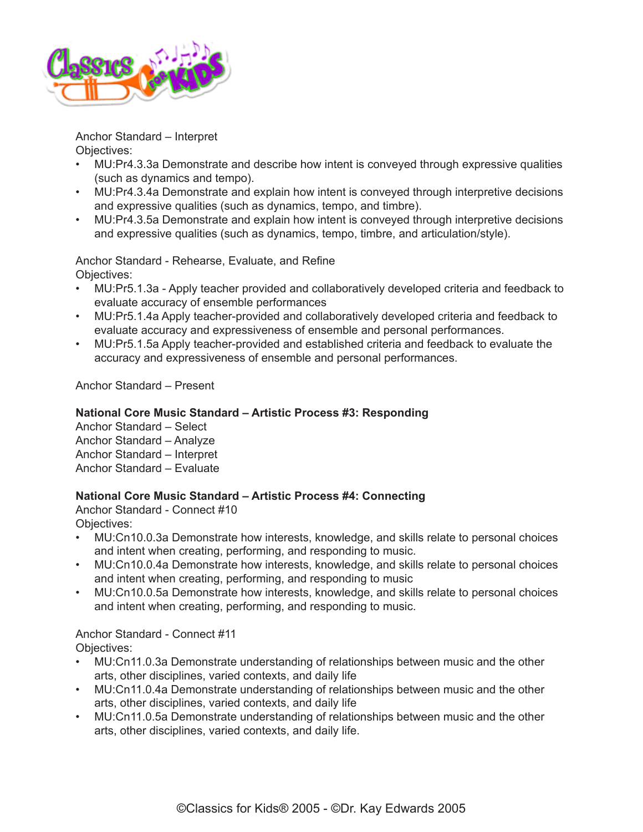

Anchor Standard – Interpret Objectives:

- MU:Pr4.3.3a Demonstrate and describe how intent is conveyed through expressive qualities (such as dynamics and tempo).
- MU:Pr4.3.4a Demonstrate and explain how intent is conveyed through interpretive decisions and expressive qualities (such as dynamics, tempo, and timbre).
- MU:Pr4.3.5a Demonstrate and explain how intent is conveyed through interpretive decisions and expressive qualities (such as dynamics, tempo, timbre, and articulation/style).

Anchor Standard - Rehearse, Evaluate, and Refine Objectives:

- MU:Pr5.1.3a Apply teacher provided and collaboratively developed criteria and feedback to evaluate accuracy of ensemble performances
- MU:Pr5.1.4a Apply teacher-provided and collaboratively developed criteria and feedback to evaluate accuracy and expressiveness of ensemble and personal performances.
- MU:Pr5.1.5a Apply teacher-provided and established criteria and feedback to evaluate the accuracy and expressiveness of ensemble and personal performances.

Anchor Standard – Present

## **National Core Music Standard – Artistic Process #3: Responding**

Anchor Standard – Select Anchor Standard – Analyze Anchor Standard – Interpret Anchor Standard – Evaluate

## **National Core Music Standard – Artistic Process #4: Connecting**

Anchor Standard - Connect #10 Objectives:

- MU:Cn10.0.3a Demonstrate how interests, knowledge, and skills relate to personal choices and intent when creating, performing, and responding to music.
- MU:Cn10.0.4a Demonstrate how interests, knowledge, and skills relate to personal choices and intent when creating, performing, and responding to music
- MU:Cn10.0.5a Demonstrate how interests, knowledge, and skills relate to personal choices and intent when creating, performing, and responding to music.

## Anchor Standard - Connect #11

Objectives:

- MU:Cn11.0.3a Demonstrate understanding of relationships between music and the other arts, other disciplines, varied contexts, and daily life
- MU:Cn11.0.4a Demonstrate understanding of relationships between music and the other arts, other disciplines, varied contexts, and daily life
- MU:Cn11.0.5a Demonstrate understanding of relationships between music and the other arts, other disciplines, varied contexts, and daily life.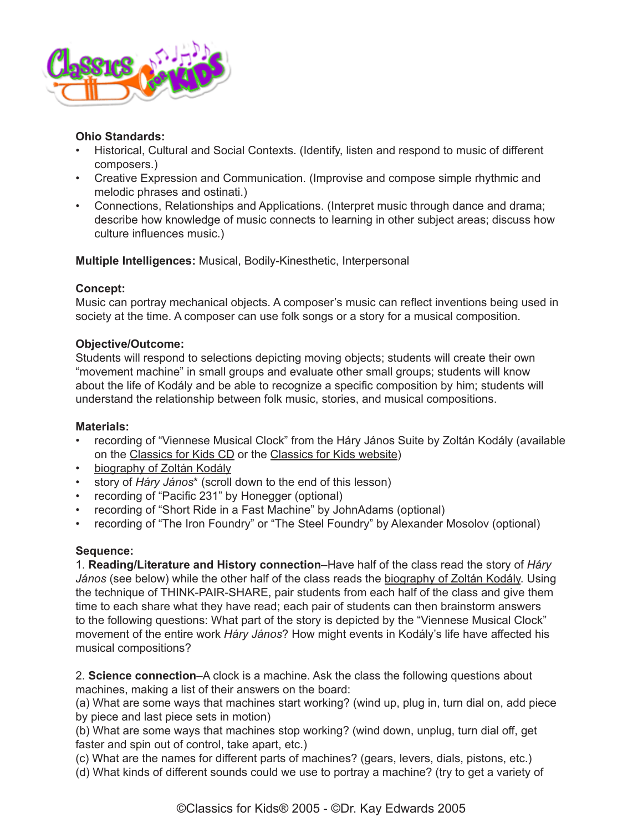

## **Ohio Standards:**

- Historical, Cultural and Social Contexts. (Identify, listen and respond to music of different composers.)
- Creative Expression and Communication. (Improvise and compose simple rhythmic and melodic phrases and ostinati.)
- Connections, Relationships and Applications. (Interpret music through dance and drama; describe how knowledge of music connects to learning in other subject areas; discuss how culture influences music.)

**Multiple Intelligences:** Musical, Bodily-Kinesthetic, Interpersonal

## **Concept:**

Music can portray mechanical objects. A composer's music can reflect inventions being used in society at the time. A composer can use folk songs or a story for a musical composition.

## **Objective/Outcome:**

Students will respond to selections depicting moving objects; students will create their own "movement machine" in small groups and evaluate other small groups; students will know about the life of Kodály and be able to recognize a specific composition by him; students will understand the relationship between folk music, stories, and musical compositions.

#### **Materials:**

- recording of "Viennese Musical Clock" from the Háry János Suite by Zoltán Kodály (available on the [Classics for Kids CD](https://secure2.convio.net/cpr/site/Ecommerce/1029952731?VIEW_PRODUCT=true&product_id=1080&store_id=1101) or the [Classics for Kids website\)](http://classicsforkids.com/music/hearthemusic.php?id=34)
- [biography of Zoltán Kodály](http://www.classicsforkids.com/composers/composer_profile.php?id=41)
- story of *Háry János*\* (scroll down to the end of this lesson)
- recording of "Pacific 231" by Honegger (optional)
- recording of "Short Ride in a Fast Machine" by JohnAdams (optional)
- recording of "The Iron Foundry" or "The Steel Foundry" by Alexander Mosolov (optional)

## **Sequence:**

1. **Reading/Literature and History connection**–Have half of the class read the story of *Háry János* (see below) while the other half of the class reads the [biography of Zoltán Kodály.](http://www.classicsforkids.com/composers/composer_profile.php?id=41) Using the technique of THINK-PAIR-SHARE, pair students from each half of the class and give them time to each share what they have read; each pair of students can then brainstorm answers to the following questions: What part of the story is depicted by the "Viennese Musical Clock" movement of the entire work *Háry János*? How might events in Kodály's life have affected his musical compositions?

2. **Science connection**–A clock is a machine. Ask the class the following questions about machines, making a list of their answers on the board:

(a) What are some ways that machines start working? (wind up, plug in, turn dial on, add piece by piece and last piece sets in motion)

(b) What are some ways that machines stop working? (wind down, unplug, turn dial off, get faster and spin out of control, take apart, etc.)

(c) What are the names for different parts of machines? (gears, levers, dials, pistons, etc.)

(d) What kinds of different sounds could we use to portray a machine? (try to get a variety of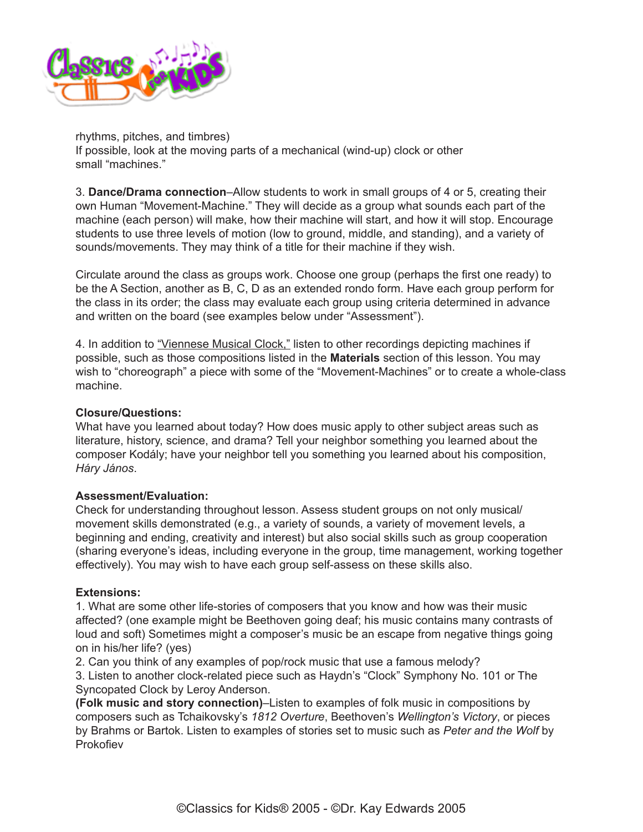

rhythms, pitches, and timbres) If possible, look at the moving parts of a mechanical (wind-up) clock or other small "machines."

3. **Dance/Drama connection**–Allow students to work in small groups of 4 or 5, creating their own Human "Movement-Machine." They will decide as a group what sounds each part of the machine (each person) will make, how their machine will start, and how it will stop. Encourage students to use three levels of motion (low to ground, middle, and standing), and a variety of sounds/movements. They may think of a title for their machine if they wish.

Circulate around the class as groups work. Choose one group (perhaps the first one ready) to be the A Section, another as B, C, D as an extended rondo form. Have each group perform for the class in its order; the class may evaluate each group using criteria determined in advance and written on the board (see examples below under "Assessment").

4. In addition to ["Viennese Musical Clock,"](http://classicsforkids.com/music/hearthemusic.php?id=34) listen to other recordings depicting machines if possible, such as those compositions listed in the **Materials** section of this lesson. You may wish to "choreograph" a piece with some of the "Movement-Machines" or to create a whole-class machine.

## **Closure/Questions:**

What have you learned about today? How does music apply to other subject areas such as literature, history, science, and drama? Tell your neighbor something you learned about the composer Kodály; have your neighbor tell you something you learned about his composition, *Háry János*.

#### **Assessment/Evaluation:**

Check for understanding throughout lesson. Assess student groups on not only musical/ movement skills demonstrated (e.g., a variety of sounds, a variety of movement levels, a beginning and ending, creativity and interest) but also social skills such as group cooperation (sharing everyone's ideas, including everyone in the group, time management, working together effectively). You may wish to have each group self-assess on these skills also.

#### **Extensions:**

1. What are some other life-stories of composers that you know and how was their music affected? (one example might be Beethoven going deaf; his music contains many contrasts of loud and soft) Sometimes might a composer's music be an escape from negative things going on in his/her life? (yes)

2. Can you think of any examples of pop/rock music that use a famous melody?

3. Listen to another clock-related piece such as Haydn's "Clock" Symphony No. 101 or The Syncopated Clock by Leroy Anderson.

**(Folk music and story connection)**–Listen to examples of folk music in compositions by composers such as Tchaikovsky's *1812 Overture*, Beethoven's *Wellington's Victory*, or pieces by Brahms or Bartok. Listen to examples of stories set to music such as *Peter and the Wolf* by **Prokofiev**